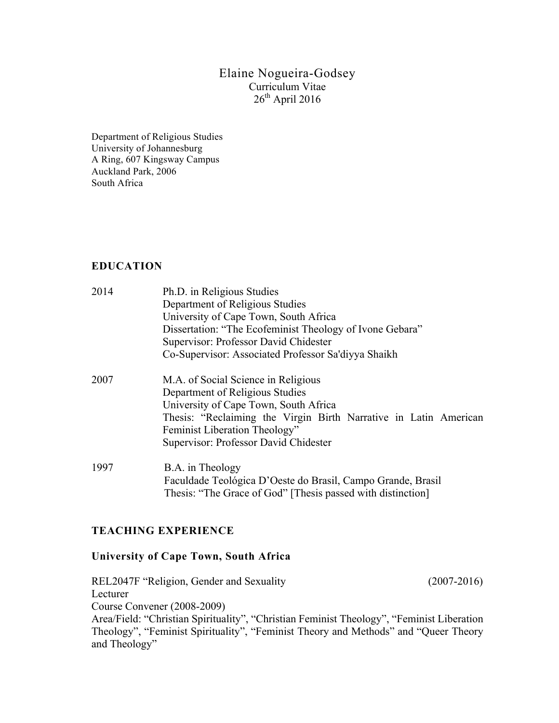## Elaine Nogueira-Godsey Curriculum Vitae  $26<sup>th</sup>$  April 2016

Department of Religious Studies University of Johannesburg A Ring, 607 Kingsway Campus Auckland Park, 2006 South Africa

## **EDUCATION**

| 2014 | Ph.D. in Religious Studies                                       |
|------|------------------------------------------------------------------|
|      | Department of Religious Studies                                  |
|      | University of Cape Town, South Africa                            |
|      | Dissertation: "The Ecofeminist Theology of Ivone Gebara"         |
|      | Supervisor: Professor David Chidester                            |
|      | Co-Supervisor: Associated Professor Sa'diyya Shaikh              |
| 2007 | M.A. of Social Science in Religious                              |
|      | Department of Religious Studies                                  |
|      | University of Cape Town, South Africa                            |
|      | Thesis: "Reclaiming the Virgin Birth Narrative in Latin American |
|      | Feminist Liberation Theology"                                    |
|      | Supervisor: Professor David Chidester                            |
| 1997 | B.A. in Theology                                                 |
|      | $F_1$ 11. 1. $T_1$ 12. $D_2$ 1. D  1. $D_3$ 1. D  1.             |

Faculdade Teológica D'Oeste do Brasil, Campo Grande, Brasil Thesis: "The Grace of God" [Thesis passed with distinction]

## **TEACHING EXPERIENCE**

## **University of Cape Town, South Africa**

REL2047F "Religion, Gender and Sexuality (2007-2016) Lecturer Course Convener (2008-2009) Area/Field: "Christian Spirituality", "Christian Feminist Theology", "Feminist Liberation Theology", "Feminist Spirituality", "Feminist Theory and Methods" and "Queer Theory and Theology"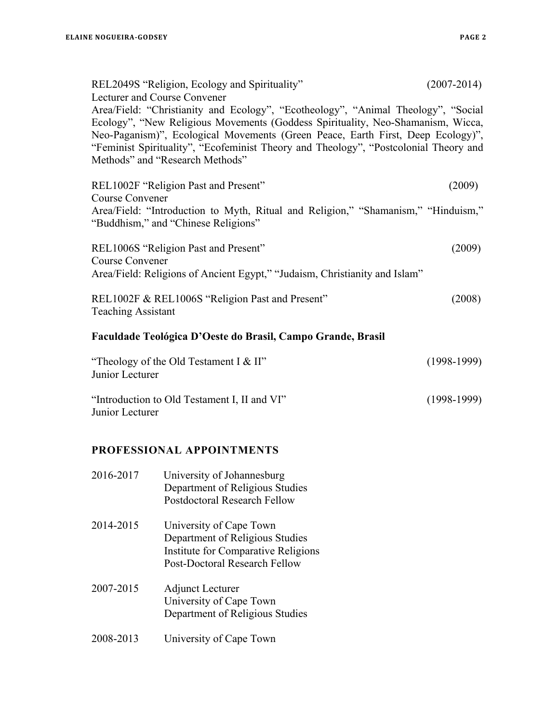| REL2049S "Religion, Ecology and Spirituality"<br>Lecturer and Course Convener                                                                                                                                                                                                                                                                                                      | $(2007 - 2014)$ |
|------------------------------------------------------------------------------------------------------------------------------------------------------------------------------------------------------------------------------------------------------------------------------------------------------------------------------------------------------------------------------------|-----------------|
| Area/Field: "Christianity and Ecology", "Ecotheology", "Animal Theology", "Social<br>Ecology", "New Religious Movements (Goddess Spirituality, Neo-Shamanism, Wicca,<br>Neo-Paganism)", Ecological Movements (Green Peace, Earth First, Deep Ecology)",<br>"Feminist Spirituality", "Ecofeminist Theory and Theology", "Postcolonial Theory and<br>Methods" and "Research Methods" |                 |
| REL1002F "Religion Past and Present"<br>Course Convener                                                                                                                                                                                                                                                                                                                            | (2009)          |
| Area/Field: "Introduction to Myth, Ritual and Religion," "Shamanism," "Hinduism,"<br>"Buddhism," and "Chinese Religions"                                                                                                                                                                                                                                                           |                 |
| REL1006S "Religion Past and Present"<br>Course Convener                                                                                                                                                                                                                                                                                                                            | (2009)          |
| Area/Field: Religions of Ancient Egypt," "Judaism, Christianity and Islam"                                                                                                                                                                                                                                                                                                         |                 |
| REL1002F & REL1006S "Religion Past and Present"<br><b>Teaching Assistant</b>                                                                                                                                                                                                                                                                                                       | 2008)           |
| Faculdade Teológica D'Oeste do Brasil, Campo Grande, Brasil                                                                                                                                                                                                                                                                                                                        |                 |

| "Theology of the Old Testament I & II"       | $(1998-1999)$ |
|----------------------------------------------|---------------|
| Junior Lecturer                              |               |
| "Introduction to Old Testament I, II and VI" | $(1998-1999)$ |
| Junior Lecturer                              |               |
|                                              |               |

# **PROFESSIONAL APPOINTMENTS**

| 2016-2017 | University of Johannesburg<br>Department of Religious Studies<br><b>Postdoctoral Research Fellow</b>                               |
|-----------|------------------------------------------------------------------------------------------------------------------------------------|
| 2014-2015 | University of Cape Town<br>Department of Religious Studies<br>Institute for Comparative Religions<br>Post-Doctoral Research Fellow |
| 2007-2015 | Adjunct Lecturer<br>University of Cape Town<br>Department of Religious Studies                                                     |
| 2008-2013 | University of Cape Town                                                                                                            |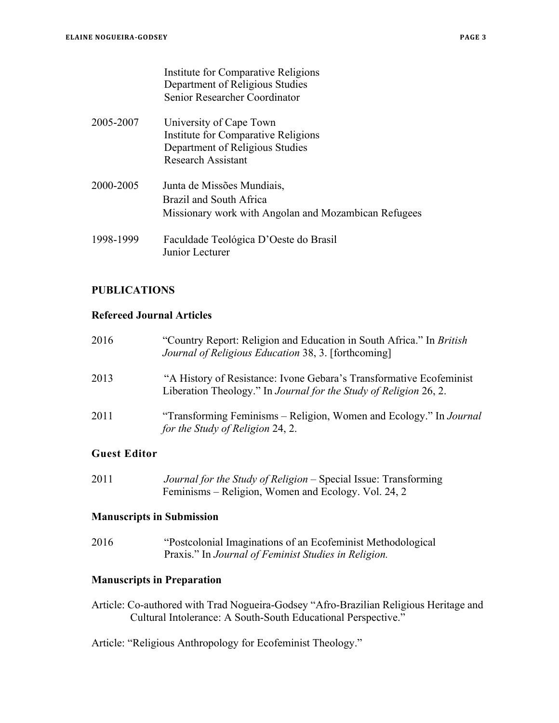| Institute for Comparative Religions |
|-------------------------------------|
| Department of Religious Studies     |
| Senior Researcher Coordinator       |

- 2005-2007 University of Cape Town Institute for Comparative Religions Department of Religious Studies Research Assistant
- 2000-2005 Junta de Missões Mundiais, Brazil and South Africa Missionary work with Angolan and Mozambican Refugees
- 1998-1999 Faculdade Teológica D'Oeste do Brasil Junior Lecturer

#### **PUBLICATIONS**

#### **Refereed Journal Articles**

| 2016 | "Country Report: Religion and Education in South Africa." In <i>British</i><br>Journal of Religious Education 38, 3. [forthcoming]       |
|------|------------------------------------------------------------------------------------------------------------------------------------------|
| 2013 | "A History of Resistance: Ivone Gebara's Transformative Ecofeminist<br>Liberation Theology." In Journal for the Study of Religion 26, 2. |
| 2011 | "Transforming Feminisms – Religion, Women and Ecology." In Journal<br>for the Study of Religion 24, 2.                                   |

## **Guest Editor**

2011 *Journal for the Study of Religion* – Special Issue: Transforming Feminisms – Religion, Women and Ecology. Vol. 24, 2

#### **Manuscripts in Submission**

2016 "Postcolonial Imaginations of an Ecofeminist Methodological Praxis." In *Journal of Feminist Studies in Religion.*

## **Manuscripts in Preparation**

Article: Co-authored with Trad Nogueira-Godsey "Afro-Brazilian Religious Heritage and Cultural Intolerance: A South-South Educational Perspective."

Article: "Religious Anthropology for Ecofeminist Theology."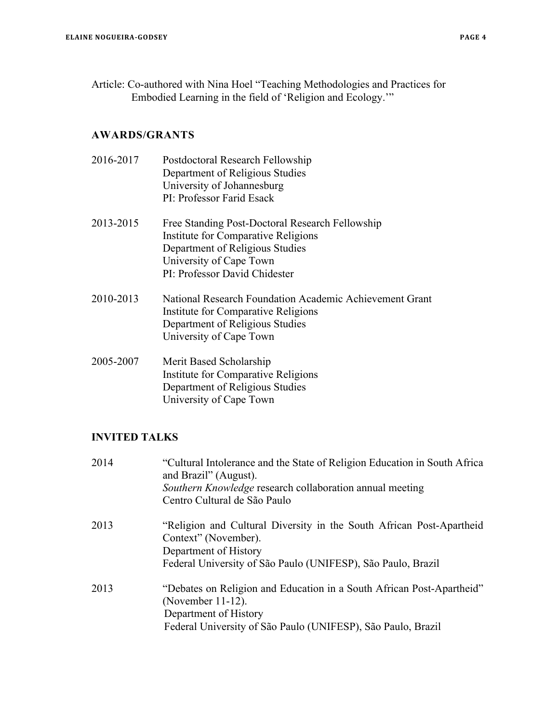Article: Co-authored with Nina Hoel "Teaching Methodologies and Practices for Embodied Learning in the field of 'Religion and Ecology.'"

#### **AWARDS/GRANTS**

- 2016-2017 Postdoctoral Research Fellowship Department of Religious Studies University of Johannesburg PI: Professor Farid Esack
- 2013-2015 Free Standing Post-Doctoral Research Fellowship Institute for Comparative Religions Department of Religious Studies University of Cape Town PI: Professor David Chidester
- 2010-2013 National Research Foundation Academic Achievement Grant Institute for Comparative Religions Department of Religious Studies University of Cape Town
- 2005-2007 Merit Based Scholarship Institute for Comparative Religions Department of Religious Studies University of Cape Town

## **INVITED TALKS**

| 2014 | "Cultural Intolerance and the State of Religion Education in South Africa<br>and Brazil" (August).<br><i>Southern Knowledge</i> research collaboration annual meeting<br>Centro Cultural de São Paulo |
|------|-------------------------------------------------------------------------------------------------------------------------------------------------------------------------------------------------------|
| 2013 | "Religion and Cultural Diversity in the South African Post-Apartheid<br>Context" (November).<br>Department of History<br>Federal University of São Paulo (UNIFESP), São Paulo, Brazil                 |
| 2013 | "Debates on Religion and Education in a South African Post-Apartheid"<br>(November 11-12).<br>Department of History<br>Federal University of São Paulo (UNIFESP), São Paulo, Brazil                   |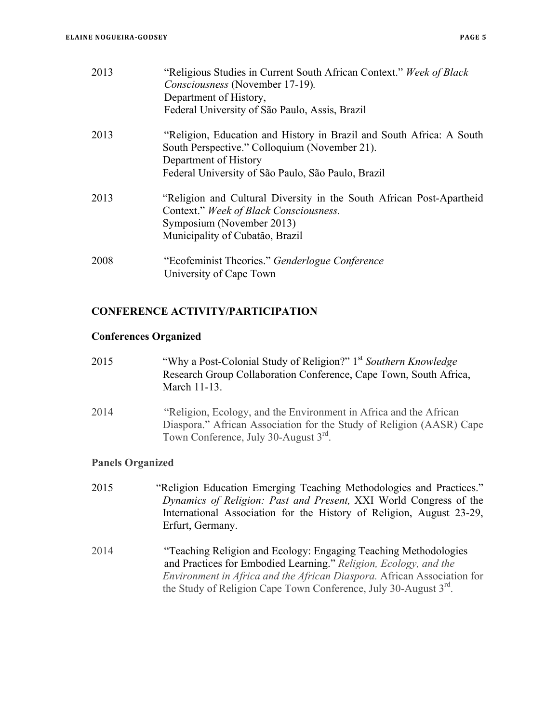| 2013 | "Religious Studies in Current South African Context." Week of Black<br><i>Consciousness</i> (November 17-19).<br>Department of History,<br>Federal University of São Paulo, Assis, Brazil |
|------|-------------------------------------------------------------------------------------------------------------------------------------------------------------------------------------------|
| 2013 | "Religion, Education and History in Brazil and South Africa: A South<br>South Perspective." Colloquium (November 21).<br>Department of History                                            |
|      | Federal University of São Paulo, São Paulo, Brazil                                                                                                                                        |
| 2013 | "Religion and Cultural Diversity in the South African Post-Apartheid<br>Context." Week of Black Consciousness.<br>Symposium (November 2013)                                               |

2008 "Ecofeminist Theories." *Genderlogue Conference* University of Cape Town

Municipality of Cubatão, Brazil

## **CONFERENCE ACTIVITY/PARTICIPATION**

#### **Conferences Organized**

| 2015 | "Why a Post-Colonial Study of Religion?" 1 <sup>st</sup> Southern Knowledge |
|------|-----------------------------------------------------------------------------|
|      | Research Group Collaboration Conference, Cape Town, South Africa,           |
|      | March 11-13.                                                                |

2014 "Religion, Ecology, and the Environment in Africa and the African Diaspora." African Association for the Study of Religion (AASR) Cape Town Conference, July 30-August 3rd.

## **Panels Organized**

- 2015 "Religion Education Emerging Teaching Methodologies and Practices." *Dynamics of Religion: Past and Present,* XXI World Congress of the International Association for the History of Religion, August 23-29, Erfurt, Germany.
- 2014 "Teaching Religion and Ecology: Engaging Teaching Methodologies and Practices for Embodied Learning." *Religion, Ecology, and the Environment in Africa and the African Diaspora.* African Association for the Study of Religion Cape Town Conference, July 30-August 3<sup>rd</sup>.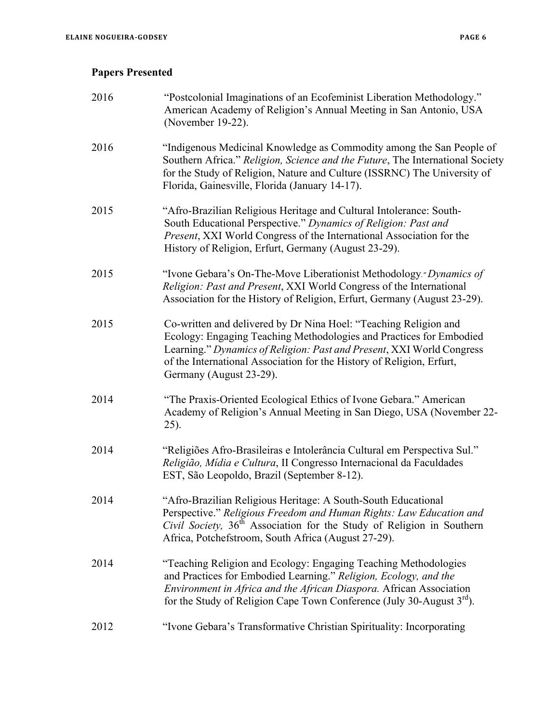# **Papers Presented**

| 2016 | "Postcolonial Imaginations of an Ecofeminist Liberation Methodology."<br>American Academy of Religion's Annual Meeting in San Antonio, USA<br>(November 19-22).                                                                                                                                                      |
|------|----------------------------------------------------------------------------------------------------------------------------------------------------------------------------------------------------------------------------------------------------------------------------------------------------------------------|
| 2016 | "Indigenous Medicinal Knowledge as Commodity among the San People of<br>Southern Africa." Religion, Science and the Future, The International Society<br>for the Study of Religion, Nature and Culture (ISSRNC) The University of<br>Florida, Gainesville, Florida (January 14-17).                                  |
| 2015 | "Afro-Brazilian Religious Heritage and Cultural Intolerance: South-<br>South Educational Perspective." Dynamics of Religion: Past and<br>Present, XXI World Congress of the International Association for the<br>History of Religion, Erfurt, Germany (August 23-29).                                                |
| 2015 | "Ivone Gebara's On-The-Move Liberationist Methodology." Dynamics of<br>Religion: Past and Present, XXI World Congress of the International<br>Association for the History of Religion, Erfurt, Germany (August 23-29).                                                                                               |
| 2015 | Co-written and delivered by Dr Nina Hoel: "Teaching Religion and<br>Ecology: Engaging Teaching Methodologies and Practices for Embodied<br>Learning." Dynamics of Religion: Past and Present, XXI World Congress<br>of the International Association for the History of Religion, Erfurt,<br>Germany (August 23-29). |
| 2014 | "The Praxis-Oriented Ecological Ethics of Ivone Gebara." American<br>Academy of Religion's Annual Meeting in San Diego, USA (November 22-<br>25).                                                                                                                                                                    |
| 2014 | "Religiões Afro-Brasileiras e Intolerância Cultural em Perspectiva Sul."<br>Religião, Mídia e Cultura, II Congresso Internacional da Faculdades<br>EST, São Leopoldo, Brazil (September 8-12).                                                                                                                       |
| 2014 | "Afro-Brazilian Religious Heritage: A South-South Educational<br>Perspective." Religious Freedom and Human Rights: Law Education and<br>Civil Society, 36 <sup>th</sup> Association for the Study of Religion in Southern<br>Africa, Potchefstroom, South Africa (August 27-29).                                     |
| 2014 | "Teaching Religion and Ecology: Engaging Teaching Methodologies<br>and Practices for Embodied Learning." Religion, Ecology, and the<br>Environment in Africa and the African Diaspora. African Association<br>for the Study of Religion Cape Town Conference (July 30-August $3^{rd}$ ).                             |
| 2012 | "Ivone Gebara's Transformative Christian Spirituality: Incorporating                                                                                                                                                                                                                                                 |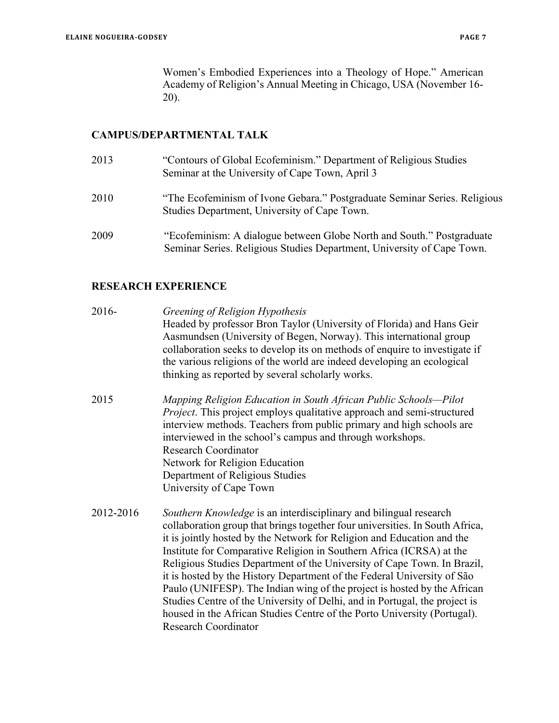Women's Embodied Experiences into a Theology of Hope." American Academy of Religion's Annual Meeting in Chicago, USA (November 16- 20).

#### **CAMPUS/DEPARTMENTAL TALK**

- 2013 "Contours of Global Ecofeminism." Department of Religious Studies Seminar at the University of Cape Town, April 3
- 2010 "The Ecofeminism of Ivone Gebara." Postgraduate Seminar Series. Religious Studies Department, University of Cape Town.
- 2009 "Ecofeminism: A dialogue between Globe North and South." Postgraduate Seminar Series. Religious Studies Department, University of Cape Town.

## **RESEARCH EXPERIENCE**

- 2016- *Greening of Religion Hypothesis* Headed by professor Bron Taylor (University of Florida) and Hans Geir Aasmundsen (University of Begen, Norway). This international group collaboration seeks to develop its on methods of enquire to investigate if the various religions of the world are indeed developing an ecological thinking as reported by several scholarly works.
- 2015 *Mapping Religion Education in South African Public Schools—Pilot Project*. This project employs qualitative approach and semi-structured interview methods. Teachers from public primary and high schools are interviewed in the school's campus and through workshops. Research Coordinator Network for Religion Education Department of Religious Studies University of Cape Town
- 2012-2016 *Southern Knowledge* is an interdisciplinary and bilingual research collaboration group that brings together four universities. In South Africa, it is jointly hosted by the Network for Religion and Education and the Institute for Comparative Religion in Southern Africa (ICRSA) at the Religious Studies Department of the University of Cape Town. In Brazil, it is hosted by the History Department of the Federal University of São Paulo (UNIFESP). The Indian wing of the project is hosted by the African Studies Centre of the University of Delhi, and in Portugal, the project is housed in the African Studies Centre of the Porto University (Portugal). Research Coordinator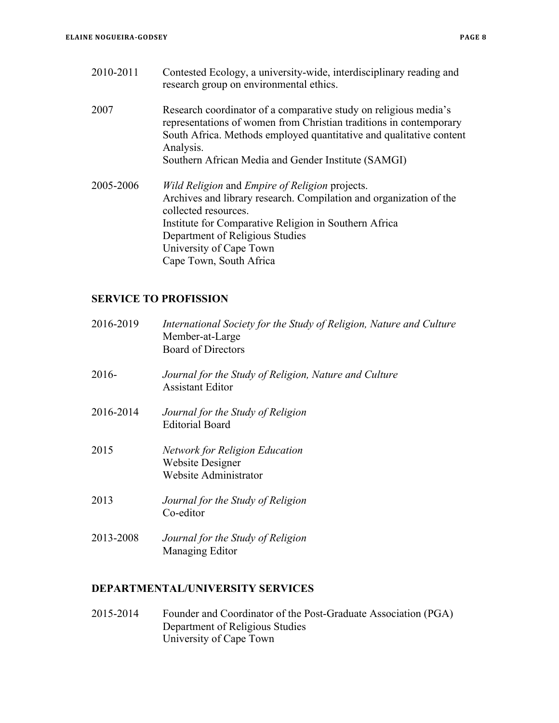2010-2011 Contested Ecology, a university-wide, interdisciplinary reading and research group on environmental ethics. 2007 Research coordinator of a comparative study on religious media's representations of women from Christian traditions in contemporary South Africa. Methods employed quantitative and qualitative content Analysis. Southern African Media and Gender Institute (SAMGI) 2005-2006 *Wild Religion* and *Empire of Religion* projects. Archives and library research. Compilation and organization of the collected resources. Institute for Comparative Religion in Southern Africa Department of Religious Studies University of Cape Town Cape Town, South Africa

## **SERVICE TO PROFISSION**

| 2016-2019 | International Society for the Study of Religion, Nature and Culture<br>Member-at-Large<br><b>Board of Directors</b> |
|-----------|---------------------------------------------------------------------------------------------------------------------|
| $2016-$   | Journal for the Study of Religion, Nature and Culture<br><b>Assistant Editor</b>                                    |
| 2016-2014 | Journal for the Study of Religion<br><b>Editorial Board</b>                                                         |
| 2015      | <b>Network for Religion Education</b><br><b>Website Designer</b><br>Website Administrator                           |
| 2013      | Journal for the Study of Religion<br>Co-editor                                                                      |
| 2013-2008 | Journal for the Study of Religion<br>Managing Editor                                                                |

#### **DEPARTMENTAL/UNIVERSITY SERVICES**

2015-2014 Founder and Coordinator of the Post-Graduate Association (PGA) Department of Religious Studies University of Cape Town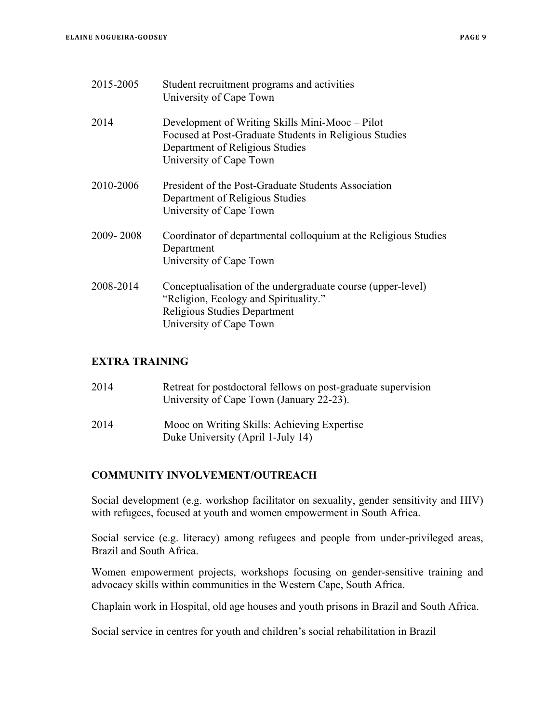| 2015-2005 | Student recruitment programs and activities<br>University of Cape Town                                                                                                  |
|-----------|-------------------------------------------------------------------------------------------------------------------------------------------------------------------------|
| 2014      | Development of Writing Skills Mini-Mooc – Pilot<br>Focused at Post-Graduate Students in Religious Studies<br>Department of Religious Studies<br>University of Cape Town |
| 2010-2006 | President of the Post-Graduate Students Association<br>Department of Religious Studies<br>University of Cape Town                                                       |
| 2009-2008 | Coordinator of departmental colloquium at the Religious Studies<br>Department<br>University of Cape Town                                                                |
| 2008-2014 | Conceptualisation of the undergraduate course (upper-level)<br>"Religion, Ecology and Spirituality."<br>Religious Studies Department<br>University of Cape Town         |

## **EXTRA TRAINING**

| 2014 | Retreat for postdoctoral fellows on post-graduate supervision<br>University of Cape Town (January 22-23). |
|------|-----------------------------------------------------------------------------------------------------------|
| 2014 | Mooc on Writing Skills: Achieving Expertise<br>Duke University (April 1-July 14)                          |

## **COMMUNITY INVOLVEMENT/OUTREACH**

Social development (e.g. workshop facilitator on sexuality, gender sensitivity and HIV) with refugees, focused at youth and women empowerment in South Africa.

Social service (e.g. literacy) among refugees and people from under-privileged areas, Brazil and South Africa.

Women empowerment projects, workshops focusing on gender-sensitive training and advocacy skills within communities in the Western Cape, South Africa.

Chaplain work in Hospital, old age houses and youth prisons in Brazil and South Africa.

Social service in centres for youth and children's social rehabilitation in Brazil